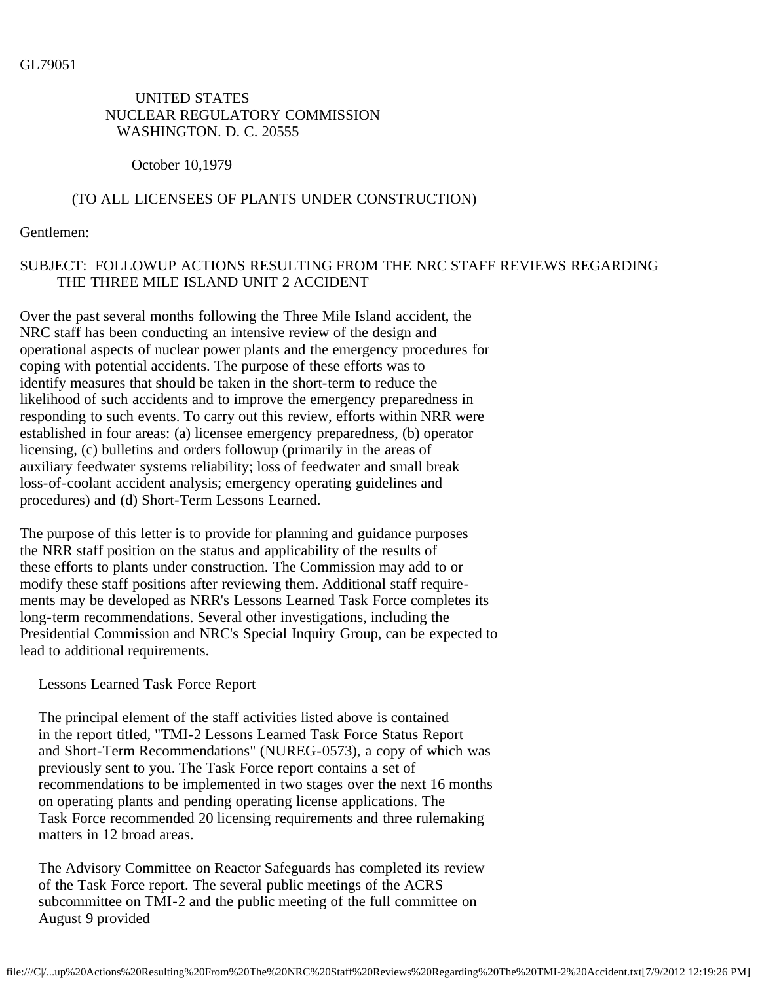### UNITED STATES NUCLEAR REGULATORY COMMISSION WASHINGTON. D. C. 20555

October 10,1979

# (TO ALL LICENSEES OF PLANTS UNDER CONSTRUCTION)

Gentlemen:

# SUBJECT: FOLLOWUP ACTIONS RESULTING FROM THE NRC STAFF REVIEWS REGARDING THE THREE MILE ISLAND UNIT 2 ACCIDENT

Over the past several months following the Three Mile Island accident, the NRC staff has been conducting an intensive review of the design and operational aspects of nuclear power plants and the emergency procedures for coping with potential accidents. The purpose of these efforts was to identify measures that should be taken in the short-term to reduce the likelihood of such accidents and to improve the emergency preparedness in responding to such events. To carry out this review, efforts within NRR were established in four areas: (a) licensee emergency preparedness, (b) operator licensing, (c) bulletins and orders followup (primarily in the areas of auxiliary feedwater systems reliability; loss of feedwater and small break loss-of-coolant accident analysis; emergency operating guidelines and procedures) and (d) Short-Term Lessons Learned.

The purpose of this letter is to provide for planning and guidance purposes the NRR staff position on the status and applicability of the results of these efforts to plants under construction. The Commission may add to or modify these staff positions after reviewing them. Additional staff requirements may be developed as NRR's Lessons Learned Task Force completes its long-term recommendations. Several other investigations, including the Presidential Commission and NRC's Special Inquiry Group, can be expected to lead to additional requirements.

Lessons Learned Task Force Report

 The principal element of the staff activities listed above is contained in the report titled, "TMI-2 Lessons Learned Task Force Status Report and Short-Term Recommendations" (NUREG-0573), a copy of which was previously sent to you. The Task Force report contains a set of recommendations to be implemented in two stages over the next 16 months on operating plants and pending operating license applications. The Task Force recommended 20 licensing requirements and three rulemaking matters in 12 broad areas.

 The Advisory Committee on Reactor Safeguards has completed its review of the Task Force report. The several public meetings of the ACRS subcommittee on TMI-2 and the public meeting of the full committee on August 9 provided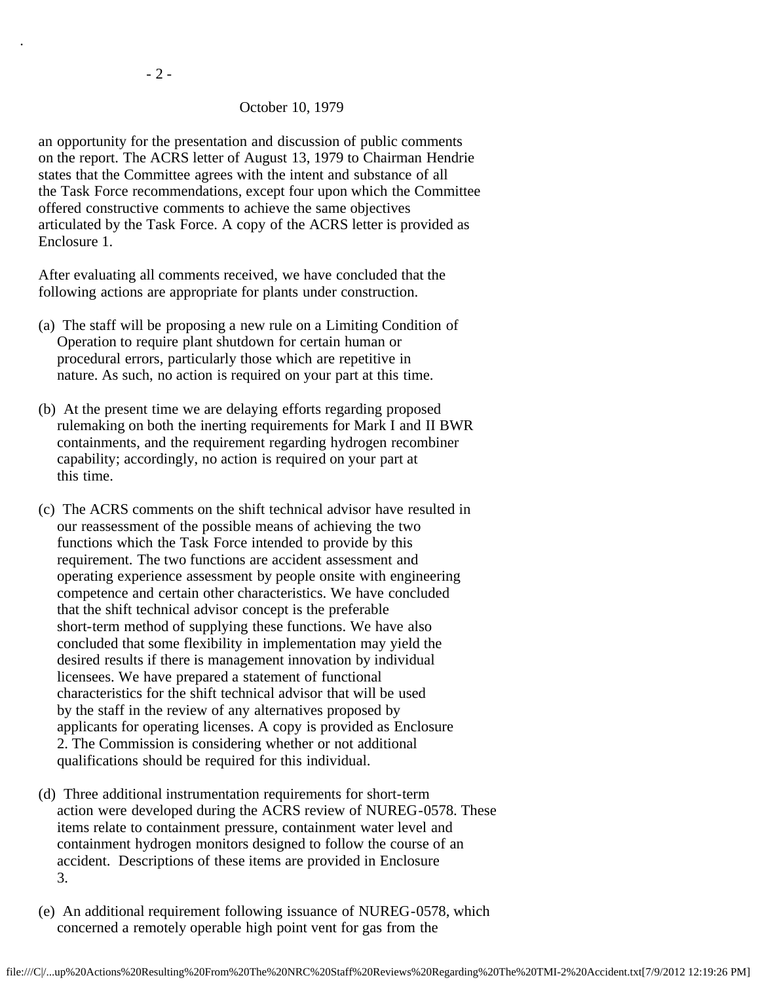.

#### October 10, 1979

 an opportunity for the presentation and discussion of public comments on the report. The ACRS letter of August 13, 1979 to Chairman Hendrie states that the Committee agrees with the intent and substance of all the Task Force recommendations, except four upon which the Committee offered constructive comments to achieve the same objectives articulated by the Task Force. A copy of the ACRS letter is provided as Enclosure 1.

 After evaluating all comments received, we have concluded that the following actions are appropriate for plants under construction.

- (a) The staff will be proposing a new rule on a Limiting Condition of Operation to require plant shutdown for certain human or procedural errors, particularly those which are repetitive in nature. As such, no action is required on your part at this time.
- (b) At the present time we are delaying efforts regarding proposed rulemaking on both the inerting requirements for Mark I and II BWR containments, and the requirement regarding hydrogen recombiner capability; accordingly, no action is required on your part at this time.
- (c) The ACRS comments on the shift technical advisor have resulted in our reassessment of the possible means of achieving the two functions which the Task Force intended to provide by this requirement. The two functions are accident assessment and operating experience assessment by people onsite with engineering competence and certain other characteristics. We have concluded that the shift technical advisor concept is the preferable short-term method of supplying these functions. We have also concluded that some flexibility in implementation may yield the desired results if there is management innovation by individual licensees. We have prepared a statement of functional characteristics for the shift technical advisor that will be used by the staff in the review of any alternatives proposed by applicants for operating licenses. A copy is provided as Enclosure 2. The Commission is considering whether or not additional qualifications should be required for this individual.
- (d) Three additional instrumentation requirements for short-term action were developed during the ACRS review of NUREG-0578. These items relate to containment pressure, containment water level and containment hydrogen monitors designed to follow the course of an accident. Descriptions of these items are provided in Enclosure 3.
- (e) An additional requirement following issuance of NUREG-0578, which concerned a remotely operable high point vent for gas from the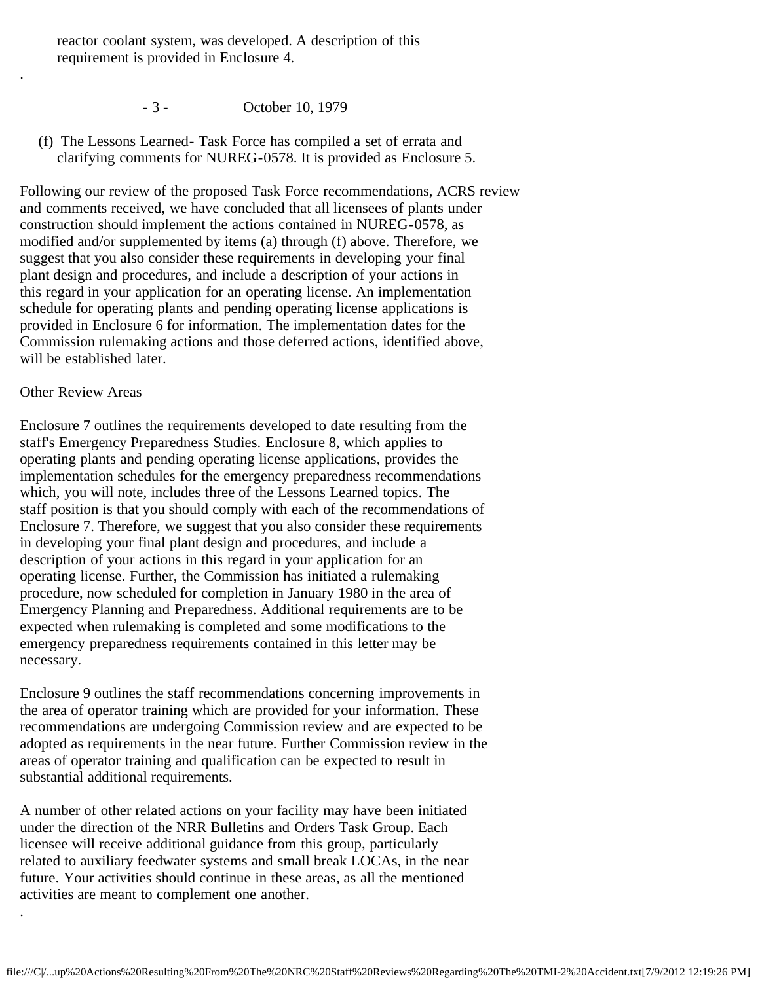reactor coolant system, was developed. A description of this requirement is provided in Enclosure 4.

- 3 October 10, 1979
- (f) The Lessons Learned- Task Force has compiled a set of errata and clarifying comments for NUREG-0578. It is provided as Enclosure 5.

Following our review of the proposed Task Force recommendations, ACRS review and comments received, we have concluded that all licensees of plants under construction should implement the actions contained in NUREG-0578, as modified and/or supplemented by items (a) through (f) above. Therefore, we suggest that you also consider these requirements in developing your final plant design and procedures, and include a description of your actions in this regard in your application for an operating license. An implementation schedule for operating plants and pending operating license applications is provided in Enclosure 6 for information. The implementation dates for the Commission rulemaking actions and those deferred actions, identified above, will be established later.

#### Other Review Areas

.

.

Enclosure 7 outlines the requirements developed to date resulting from the staff's Emergency Preparedness Studies. Enclosure 8, which applies to operating plants and pending operating license applications, provides the implementation schedules for the emergency preparedness recommendations which, you will note, includes three of the Lessons Learned topics. The staff position is that you should comply with each of the recommendations of Enclosure 7. Therefore, we suggest that you also consider these requirements in developing your final plant design and procedures, and include a description of your actions in this regard in your application for an operating license. Further, the Commission has initiated a rulemaking procedure, now scheduled for completion in January 1980 in the area of Emergency Planning and Preparedness. Additional requirements are to be expected when rulemaking is completed and some modifications to the emergency preparedness requirements contained in this letter may be necessary.

Enclosure 9 outlines the staff recommendations concerning improvements in the area of operator training which are provided for your information. These recommendations are undergoing Commission review and are expected to be adopted as requirements in the near future. Further Commission review in the areas of operator training and qualification can be expected to result in substantial additional requirements.

A number of other related actions on your facility may have been initiated under the direction of the NRR Bulletins and Orders Task Group. Each licensee will receive additional guidance from this group, particularly related to auxiliary feedwater systems and small break LOCAs, in the near future. Your activities should continue in these areas, as all the mentioned activities are meant to complement one another.